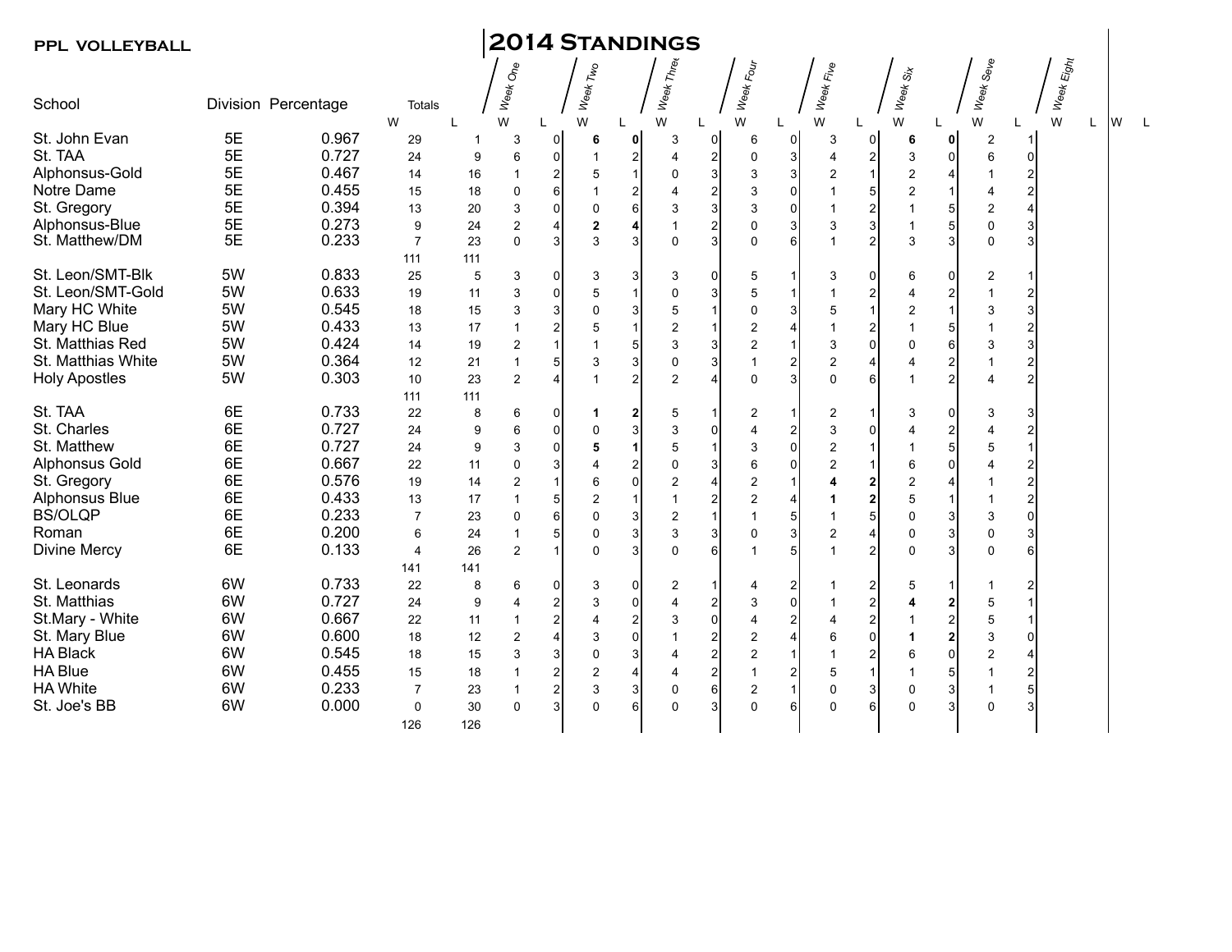|  |  |  | <b>PPL VOLLEYBALL</b> |
|--|--|--|-----------------------|
|--|--|--|-----------------------|

## **PPL VOLLEYBALL 2014 Standings**

| School               | Division Percentage |       | <b>Totals</b>  |             | Week One       |                | Week Two       |                      | Week Three     |                | Week Four      |                | Week Five      |                           | Week <sub>Six</sub> |                        | Week Seve               |                | Week Eight |    |          |   |
|----------------------|---------------------|-------|----------------|-------------|----------------|----------------|----------------|----------------------|----------------|----------------|----------------|----------------|----------------|---------------------------|---------------------|------------------------|-------------------------|----------------|------------|----|----------|---|
| St. John Evan        | 5E                  | 0.967 | W<br>29        | $\mathbf 1$ | W<br>3         | $\Omega$       | W<br>6         | 0                    | W<br>3         | $\overline{0}$ | W<br>6         | $\overline{0}$ | W<br>3         | 0                         | W<br>6              | 0                      | W<br>2                  |                | W          | L. | <b>W</b> | L |
| St. TAA              | 5E                  | 0.727 | 24             | 9           | 6              | $\overline{0}$ |                | 2                    | 4              | 2              | $\mathbf 0$    | 3 <sup>1</sup> | 4              | $\mathbf 2$               | 3                   | ΟI                     | 6                       | $\Omega$       |            |    |          |   |
| Alphonsus-Gold       | 5E                  | 0.467 | 14             | 16          | 1              | $\overline{2}$ | 5              |                      | $\Omega$       | $\overline{3}$ | 3              | $\overline{3}$ | 2              | $\mathbf{1}$              | $\overline{2}$      |                        |                         | 2              |            |    |          |   |
| Notre Dame           | 5E                  | 0.455 | 15             | 18          | 0              | 6 <sup>1</sup> |                | 2                    |                |                | 3              | $\Omega$       |                | 5                         |                     |                        | 4                       |                |            |    |          |   |
| St. Gregory          | 5E                  | 0.394 | 13             | 20          | 3              | $\overline{0}$ | $\Omega$       | 6                    | 3              | 3              | 3              | $\overline{0}$ |                | $\overline{\mathbf{c}}$   |                     |                        | $\overline{2}$          |                |            |    |          |   |
| Alphonsus-Blue       | 5E                  | 0.273 | 9              | 24          | $\overline{2}$ |                | $\overline{2}$ |                      |                |                | $\Omega$       | 3              | 3              | $\mathsf 3$               |                     |                        | $\Omega$                |                |            |    |          |   |
| St. Matthew/DM       | 5E                  | 0.233 | $\overline{7}$ | 23          | $\Omega$       | 3              | 3              | 3                    | $\Omega$       | 3              | $\Omega$       | 61             |                | $\overline{c}$            | 3                   | 3                      | $\Omega$                |                |            |    |          |   |
|                      |                     |       | 111            | 111         |                |                |                |                      |                |                |                |                |                |                           |                     |                        |                         |                |            |    |          |   |
| St. Leon/SMT-Blk     | 5W                  | 0.833 | 25             | 5           | 3              | $\overline{0}$ | 3              | 3                    | 3              | 0              | 5              |                | 3              | 0                         | 6                   | 01                     | 2                       |                |            |    |          |   |
| St. Leon/SMT-Gold    | 5W                  | 0.633 | 19             | 11          | 3              | $\overline{0}$ | 5              |                      | $\mathbf 0$    | 3              | 5              |                |                | $\boldsymbol{2}$          |                     | 2                      |                         | $\overline{2}$ |            |    |          |   |
| Mary HC White        | 5W                  | 0.545 | 18             | 15          | 3              | 3              | $\mathbf 0$    | 3                    | 5              |                | $\mathbf 0$    | 3              | 5              | $\mathbf{1}$              | $\overline{2}$      |                        | 3                       |                |            |    |          |   |
| Mary HC Blue         | 5W                  | 0.433 | 13             | 17          | 1              | $\overline{2}$ | 5              |                      | $\overline{2}$ |                | $\overline{2}$ | 4              |                | $\sqrt{2}$                |                     |                        |                         |                |            |    |          |   |
| St. Matthias Red     | 5W                  | 0.424 | 14             | 19          | 2              |                |                | 5                    | 3              | 3              | $\overline{2}$ |                | 3              | $\mathbf 0$               | 0                   | 6                      | 3                       |                |            |    |          |   |
| St. Matthias White   | 5W                  | 0.364 | 12             | 21          | $\mathbf{1}$   | 5              | 3              | 3                    | $\Omega$       | 3              |                | 2              | 2              | $\overline{4}$            |                     | 21                     |                         |                |            |    |          |   |
| <b>Holy Apostles</b> | 5W                  | 0.303 | 10             | 23          | $\overline{2}$ | 4              |                | 2                    | 2              |                | $\Omega$       | $\mathbf{3}$   | $\Omega$       | $6\phantom{1}$            |                     | 2                      | $\overline{4}$          |                |            |    |          |   |
|                      |                     |       | 111            | 111         |                |                |                |                      |                |                |                |                |                |                           |                     |                        |                         |                |            |    |          |   |
| St. TAA              | 6E                  | 0.733 | 22             | 8           | 6              | $\overline{0}$ | 1              | 2                    | 5              |                | 2              |                | 2              | 1                         | 3                   | 01                     | 3                       |                |            |    |          |   |
| St. Charles          | 6E                  | 0.727 | 24             | 9           | 6              | $\overline{0}$ | $\mathbf{0}$   | 3                    | 3              | 0              | $\overline{4}$ | 2              | 3              | 0                         |                     | 21                     | $\overline{4}$          |                |            |    |          |   |
| St. Matthew          | 6E                  | 0.727 | 24             | 9           | 3              | $\Omega$       | 5              | $\blacktriangleleft$ | 5              |                | 3              | $\Omega$       | 2              | $\mathbf{1}$              |                     |                        | 5                       |                |            |    |          |   |
| Alphonsus Gold       | 6E                  | 0.667 | 22             | 11          | 0              | 3              |                | 2                    | $\Omega$       | 3              | 6              | $\Omega$       | $\overline{2}$ | $\mathbf{1}$              | 6                   | U                      | $\overline{\mathbf{A}}$ |                |            |    |          |   |
| St. Gregory          | 6E                  | 0.576 | 19             | 14          | $\overline{2}$ |                | 6              | $\Omega$             | $\overline{2}$ |                | $\overline{2}$ |                |                | $\mathbf 2$               | $\overline{2}$      |                        |                         | $\overline{2}$ |            |    |          |   |
| Alphonsus Blue       | 6E                  | 0.433 | 13             | 17          | $\mathbf{1}$   | 5              | $\overline{2}$ |                      |                |                | $\overline{2}$ |                |                | $\mathbf 2$               | 5                   |                        | $\mathbf 1$             | 2              |            |    |          |   |
| <b>BS/OLQP</b>       | 6E                  | 0.233 | $\overline{7}$ | 23          | 0              | $6 \mid$       | $\Omega$       | 3                    | $\overline{2}$ |                | $\overline{1}$ | 5              |                | 5                         | 0                   |                        | 3                       | ∩              |            |    |          |   |
| Roman                | 6E                  | 0.200 | 6              | 24          | $\mathbf{1}$   | 5              | $\mathbf{0}$   | 3                    | 3              | 3              | $\mathbf 0$    | 3              | $\overline{c}$ | $\overline{4}$            | $\Omega$            | 3                      | 0                       |                |            |    |          |   |
| Divine Mercy         | 6E                  | 0.133 | 4              | 26          | $\overline{2}$ |                | $\Omega$       | 3                    | $\Omega$       | 6              | $\overline{1}$ | 5              |                | $\overline{2}$            | $\Omega$            | 3                      | $\Omega$                |                |            |    |          |   |
|                      |                     |       | 141            | 141         |                |                |                |                      |                |                |                |                |                |                           |                     |                        |                         |                |            |    |          |   |
| St. Leonards         | 6W                  | 0.733 | 22             | 8           | 6              | $\overline{0}$ | 3              | 0                    | 2              |                | $\overline{4}$ | $\overline{2}$ |                | $\overline{\mathbf{c}}$   | 5                   |                        | 1                       | $\overline{2}$ |            |    |          |   |
| St. Matthias         | 6W                  | 0.727 | 24             | 9           | 4              | 2              | 3              | 0                    | 4              | 2              | 3              | $\Omega$       |                | $\overline{c}$            |                     | 2                      | 5                       |                |            |    |          |   |
| St.Mary - White      | 6W                  | 0.667 | 22             | 11          | 1              | $\mathbf{2}$   |                | $\overline{2}$       | 3              | $\overline{0}$ | $\overline{4}$ | $\overline{2}$ |                | $\overline{\mathbf{c}}$   |                     | $\mathsf{2}\mathsf{l}$ | 5                       |                |            |    |          |   |
| St. Mary Blue        | 6W                  | 0.600 | 18             | 12          | $\overline{2}$ | 4              | 3              | $\Omega$             |                |                | $\overline{2}$ | $\overline{4}$ | 6              | $\mathbf 0$               |                     | 2                      | 3                       | n              |            |    |          |   |
| <b>HA Black</b>      | 6W                  | 0.545 | 18             | 15          | 3              | $\overline{3}$ | $\Omega$       | 3                    |                | $\overline{2}$ | 2              |                |                | $\overline{2}$            | 6                   | U                      | $\overline{2}$          |                |            |    |          |   |
| <b>HA Blue</b>       | 6W                  | 0.455 | 15             | 18          | 1              | $\overline{2}$ | $\overline{2}$ | 4                    | 4              | 2              |                | 2              | 5              | $\mathbf{1}$              |                     | 5                      |                         |                |            |    |          |   |
| <b>HA White</b>      | 6W                  | 0.233 | $\overline{7}$ | 23          | $\mathbf{1}$   | 2              | 3              | 3                    | $\Omega$       | 6              | $\overline{2}$ |                | $\Omega$       | $\ensuremath{\mathsf{3}}$ | $\Omega$            | 3                      | 1                       |                |            |    |          |   |
| St. Joe's BB         | 6W                  | 0.000 | $\Omega$       | 30          | $\Omega$       | 3              | $\Omega$       | 6                    |                | 3              | $\Omega$       | 61             | $\Omega$       | 6                         | $\Omega$            |                        | $\Omega$                |                |            |    |          |   |
|                      |                     |       | 126            | 126         |                |                |                |                      |                |                |                |                |                |                           |                     |                        |                         |                |            |    |          |   |